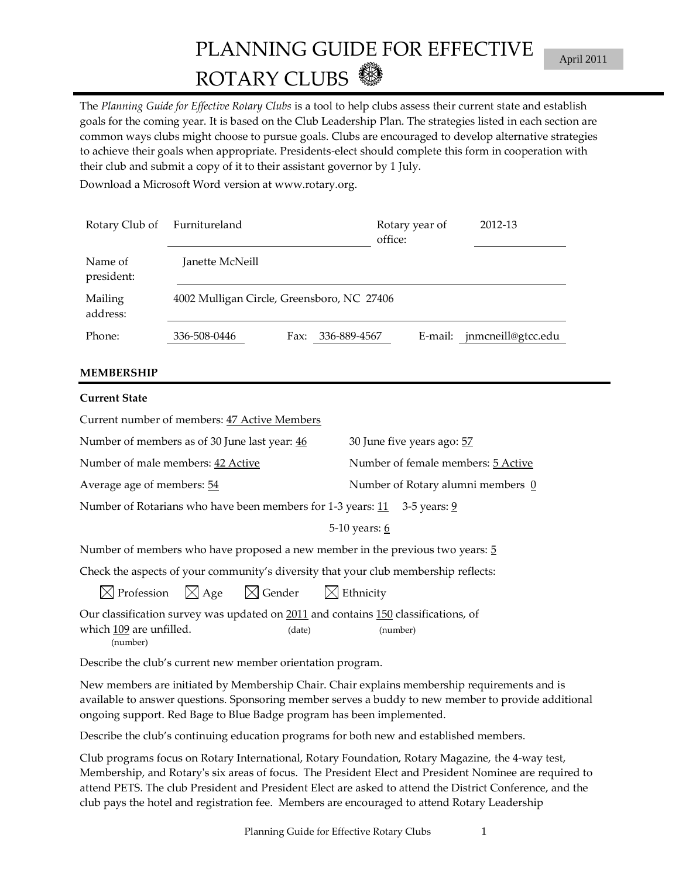# PLANNING GUIDE FOR EFFECTIVE ROTARY CLUBS

The *Planning Guide for Effective Rotary Clubs* is a tool to help clubs assess their current state and establish goals for the coming year. It is based on the Club Leadership Plan. The strategies listed in each section are common ways clubs might choose to pursue goals. Clubs are encouraged to develop alternative strategies to achieve their goals when appropriate. Presidents-elect should complete this form in cooperation with their club and submit a copy of it to their assistant governor by 1 July.

Download a Microsoft Word version at www.rotary.org.

| Rotary Club of        | Furnitureland                              |      |              | Rotary year of<br>office: | 2012-13                    |  |  |
|-----------------------|--------------------------------------------|------|--------------|---------------------------|----------------------------|--|--|
| Name of<br>president: | Janette McNeill                            |      |              |                           |                            |  |  |
| Mailing<br>address:   | 4002 Mulligan Circle, Greensboro, NC 27406 |      |              |                           |                            |  |  |
| Phone:                | 336-508-0446                               | Fax: | 336-889-4567 |                           | E-mail: jnmcneill@gtcc.edu |  |  |

#### **MEMBERSHIP**

| Current State                                                                                                                                                                                                                         |                                    |
|---------------------------------------------------------------------------------------------------------------------------------------------------------------------------------------------------------------------------------------|------------------------------------|
| Current number of members: 47 Active Members                                                                                                                                                                                          |                                    |
| Number of members as of 30 June last year: 46                                                                                                                                                                                         | 30 June five years ago: 57         |
| Number of male members: 42 Active                                                                                                                                                                                                     | Number of female members: 5 Active |
| Average age of members: 54                                                                                                                                                                                                            | Number of Rotary alumni members 0  |
| Number of Rotarians who have been members for 1-3 years: 11 3-5 years: 9                                                                                                                                                              |                                    |
|                                                                                                                                                                                                                                       | 5-10 years: 6                      |
| Number of members who have proposed a new member in the previous two years: 5                                                                                                                                                         |                                    |
| Check the aspects of your community's diversity that your club membership reflects:                                                                                                                                                   |                                    |
| $\boxtimes$ Profession $\boxtimes$ Age $\boxtimes$ Gender $\boxtimes$ Ethnicity                                                                                                                                                       |                                    |
| Our classification survey was updated on 2011 and contains 150 classifications, of<br>which <u>109</u> are unfilled.<br>(date)<br>(number)                                                                                            | (number)                           |
| $\blacksquare$ , and the set of the set of the set of the set of the set of the set of the set of the set of the set of the set of the set of the set of the set of the set of the set of the set of the set of the set of the set of |                                    |

Describe the club's current new member orientation program.

New members are initiated by Membership Chair. Chair explains membership requirements and is available to answer questions. Sponsoring member serves a buddy to new member to provide additional ongoing support. Red Bage to Blue Badge program has been implemented.

Describe the club's continuing education programs for both new and established members.

Club programs focus on Rotary International, Rotary Foundation, Rotary Magazine, the 4-way test, Membership, and Rotary's six areas of focus. The President Elect and President Nominee are required to attend PETS. The club President and President Elect are asked to attend the District Conference, and the club pays the hotel and registration fee. Members are encouraged to attend Rotary Leadership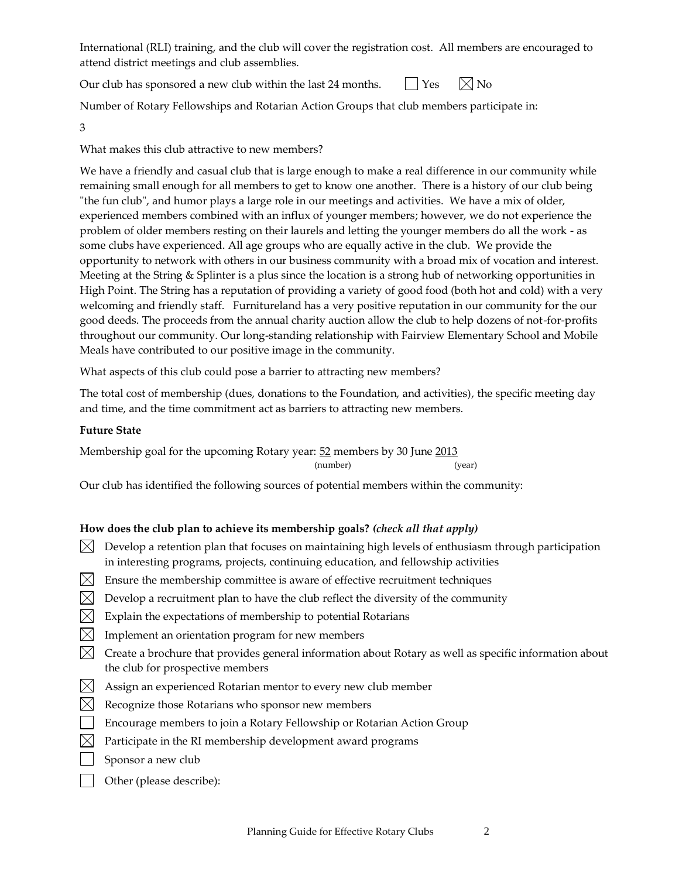International (RLI) training, and the club will cover the registration cost. All members are encouraged to attend district meetings and club assemblies.

Our club has sponsored a new club within the last 24 months.  $\Box$  Yes  $\Box$  No

Number of Rotary Fellowships and Rotarian Action Groups that club members participate in:

3

What makes this club attractive to new members?

We have a friendly and casual club that is large enough to make a real difference in our community while remaining small enough for all members to get to know one another. There is a history of our club being "the fun club", and humor plays a large role in our meetings and activities. We have a mix of older, experienced members combined with an influx of younger members; however, we do not experience the problem of older members resting on their laurels and letting the younger members do all the work - as some clubs have experienced. All age groups who are equally active in the club. We provide the opportunity to network with others in our business community with a broad mix of vocation and interest. Meeting at the String & Splinter is a plus since the location is a strong hub of networking opportunities in High Point. The String has a reputation of providing a variety of good food (both hot and cold) with a very welcoming and friendly staff. Furnitureland has a very positive reputation in our community for the our good deeds. The proceeds from the annual charity auction allow the club to help dozens of not-for-profits throughout our community. Our long-standing relationship with Fairview Elementary School and Mobile Meals have contributed to our positive image in the community.

What aspects of this club could pose a barrier to attracting new members?

The total cost of membership (dues, donations to the Foundation, and activities), the specific meeting day and time, and the time commitment act as barriers to attracting new members.

# **Future State**

Membership goal for the upcoming Rotary year: 52 members by 30 June 2013 (number) (year)

Our club has identified the following sources of potential members within the community:

# **How does the club plan to achieve its membership goals?** *(check all that apply)*

- $\boxtimes$  Develop a retention plan that focuses on maintaining high levels of enthusiasm through participation in interesting programs, projects, continuing education, and fellowship activities
- $[\times]$  Ensure the membership committee is aware of effective recruitment techniques
- $\boxtimes$  Develop a recruitment plan to have the club reflect the diversity of the community
- $\boxtimes$  Explain the expectations of membership to potential Rotarians
- $\boxtimes$  Implement an orientation program for new members
- $\boxtimes$  Create a brochure that provides general information about Rotary as well as specific information about the club for prospective members
- $\boxtimes$  Assign an experienced Rotarian mentor to every new club member
- $\boxtimes$  Recognize those Rotarians who sponsor new members
- **Encourage members to join a Rotary Fellowship or Rotarian Action Group**
- $\boxtimes$  Participate in the RI membership development award programs
- Sponsor a new club
- **Other (please describe):**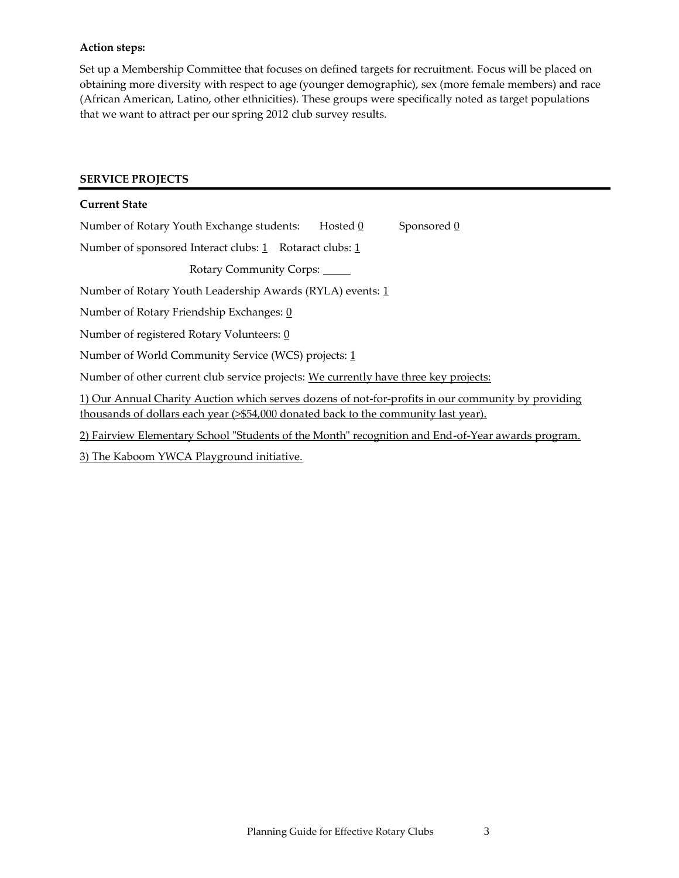#### **Action steps:**

Set up a Membership Committee that focuses on defined targets for recruitment. Focus will be placed on obtaining more diversity with respect to age (younger demographic), sex (more female members) and race (African American, Latino, other ethnicities). These groups were specifically noted as target populations that we want to attract per our spring 2012 club survey results.

#### **SERVICE PROJECTS**

| <b>Current State</b>                                                                                                                                                                      |
|-------------------------------------------------------------------------------------------------------------------------------------------------------------------------------------------|
| Sponsored 0<br>Number of Rotary Youth Exchange students:<br>Hosted 0                                                                                                                      |
| Number of sponsored Interact clubs: 1 Rotaract clubs: 1                                                                                                                                   |
| Rotary Community Corps:                                                                                                                                                                   |
| Number of Rotary Youth Leadership Awards (RYLA) events: 1                                                                                                                                 |
| Number of Rotary Friendship Exchanges: 0                                                                                                                                                  |
| Number of registered Rotary Volunteers: 0                                                                                                                                                 |
| Number of World Community Service (WCS) projects: 1                                                                                                                                       |
| Number of other current club service projects: We currently have three key projects:                                                                                                      |
| 1) Our Annual Charity Auction which serves dozens of not-for-profits in our community by providing<br>thousands of dollars each year (>\$54,000 donated back to the community last year). |
| 2) Fairview Elementary School "Students of the Month" recognition and End-of-Year awards program.                                                                                         |
| 3) The Kaboom YWCA Playground initiative.                                                                                                                                                 |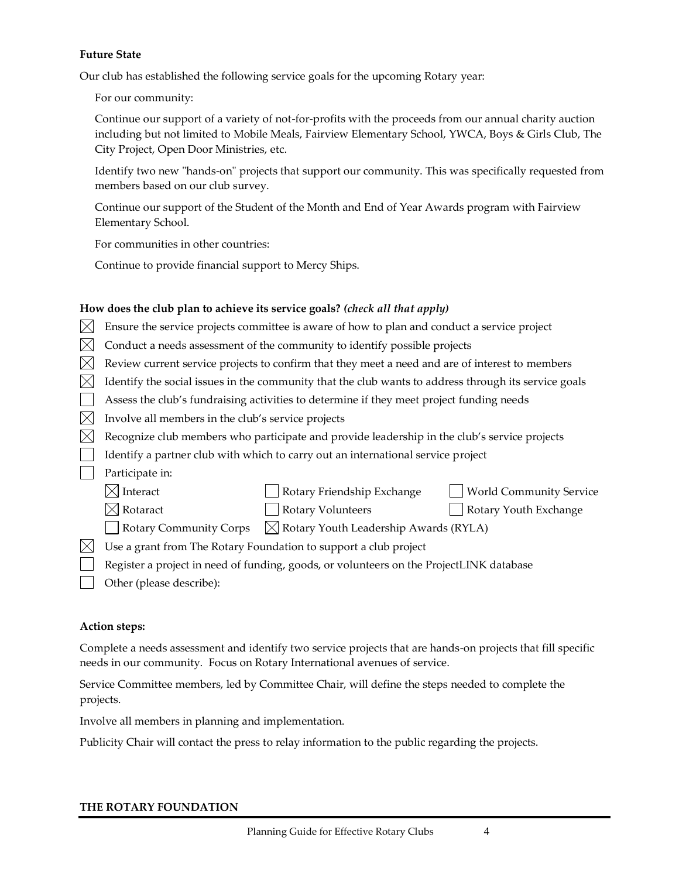#### **Future State**

Our club has established the following service goals for the upcoming Rotary year:

For our community:

Continue our support of a variety of not-for-profits with the proceeds from our annual charity auction including but not limited to Mobile Meals, Fairview Elementary School, YWCA, Boys & Girls Club, The City Project, Open Door Ministries, etc.

Identify two new "hands-on" projects that support our community. This was specifically requested from members based on our club survey.

Continue our support of the Student of the Month and End of Year Awards program with Fairview Elementary School.

For communities in other countries:

Continue to provide financial support to Mercy Ships.

## **How does the club plan to achieve its service goals?** *(check all that apply)*

|  | $\boxtimes$ Ensure the service projects committee is aware of how to plan and conduct a service project |  |  |
|--|---------------------------------------------------------------------------------------------------------|--|--|
|--|---------------------------------------------------------------------------------------------------------|--|--|

- $\boxtimes$  Conduct a needs assessment of the community to identify possible projects
- $\boxtimes$  Review current service projects to confirm that they meet a need and are of interest to members
- $\boxtimes$  Identify the social issues in the community that the club wants to address through its service goals
- Assess the club's fundraising activities to determine if they meet project funding needs
- $\boxtimes$  Involve all members in the club's service projects
- $\boxtimes$  Recognize club members who participate and provide leadership in the club's service projects
- Identify a partner club with which to carry out an international service project
- Participate in:

| $\boxtimes$ Interact | Rotary Friendship Exchange                                                         | World Community Service |
|----------------------|------------------------------------------------------------------------------------|-------------------------|
| $\boxtimes$ Rotaract | <b>Rotary Volunteers</b>                                                           | Rotary Youth Exchange   |
|                      | $ \  $ Rotary Community Corps $\  \times \ $ Rotary Youth Leadership Awards (RYLA) |                         |
|                      | $\boxtimes$ Use a grant from The Rotary Foundation to support a club project       |                         |

- Register a project in need of funding, goods, or volunteers on the ProjectLINK database
	- Other (please describe):

#### **Action steps:**

Complete a needs assessment and identify two service projects that are hands-on projects that fill specific needs in our community. Focus on Rotary International avenues of service.

Service Committee members, led by Committee Chair, will define the steps needed to complete the projects.

Involve all members in planning and implementation.

Publicity Chair will contact the press to relay information to the public regarding the projects.

#### **THE ROTARY FOUNDATION**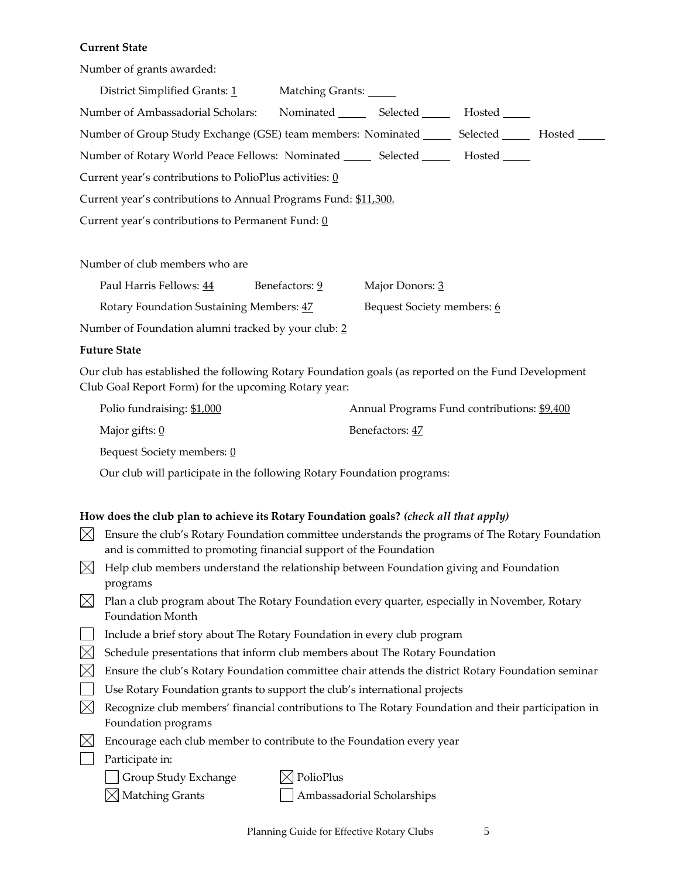#### **Current State**

Number of grants awarded:

| District Simplified Grants: 1                                                                        | Matching Grants:          |  |  |  |  |
|------------------------------------------------------------------------------------------------------|---------------------------|--|--|--|--|
| Number of Ambassadorial Scholars:                                                                    | Nominated Selected Hosted |  |  |  |  |
| Number of Group Study Exchange (GSE) team members: Nominated ________ Selected ________ Hosted _____ |                           |  |  |  |  |
| Number of Rotary World Peace Fellows: Nominated ________ Selected __________ Hosted ______           |                           |  |  |  |  |
| Current year's contributions to PolioPlus activities: 0                                              |                           |  |  |  |  |
| Current year's contributions to Annual Programs Fund: \$11,300.                                      |                           |  |  |  |  |
| Current year's contributions to Permanent Fund: $\underline{0}$                                      |                           |  |  |  |  |
|                                                                                                      |                           |  |  |  |  |

Number of club members who are

| Paul Harris Fellows: 44                  | Benefactors: 9 | Major Donors: 3            |
|------------------------------------------|----------------|----------------------------|
| Rotary Foundation Sustaining Members: 47 |                | Bequest Society members: 6 |

Number of Foundation alumni tracked by your club: 2

#### **Future State**

Our club has established the following Rotary Foundation goals (as reported on the Fund Development Club Goal Report Form) for the upcoming Rotary year:

| Polio fundraising: \$1,000   | Annual Programs Fund contributions: \$9,400 |
|------------------------------|---------------------------------------------|
| Major gifts: $\underline{0}$ | Benefactors: 47                             |
| Bequest Society members: 0   |                                             |

Our club will participate in the following Rotary Foundation programs:

#### **How does the club plan to achieve its Rotary Foundation goals?** *(check all that apply)*

- $\boxtimes$  Ensure the club's Rotary Foundation committee understands the programs of The Rotary Foundation and is committed to promoting financial support of the Foundation
- $\boxtimes$  Help club members understand the relationship between Foundation giving and Foundation programs
- $\boxtimes$  Plan a club program about The Rotary Foundation every quarter, especially in November, Rotary Foundation Month
- Include a brief story about The Rotary Foundation in every club program
- $\boxtimes$  Schedule presentations that inform club members about The Rotary Foundation
- $\boxtimes$  Ensure the club's Rotary Foundation committee chair attends the district Rotary Foundation seminar
- Use Rotary Foundation grants to support the club's international projects
- $\boxtimes$  Recognize club members' financial contributions to The Rotary Foundation and their participation in Foundation programs
- $\boxtimes$  Encourage each club member to contribute to the Foundation every year
- **Participate in:**

 $\Box$  Group Study Exchange  $\boxtimes$  PolioPlus

 $\boxtimes$  Matching Grants  $\Box$  Ambassadorial Scholarships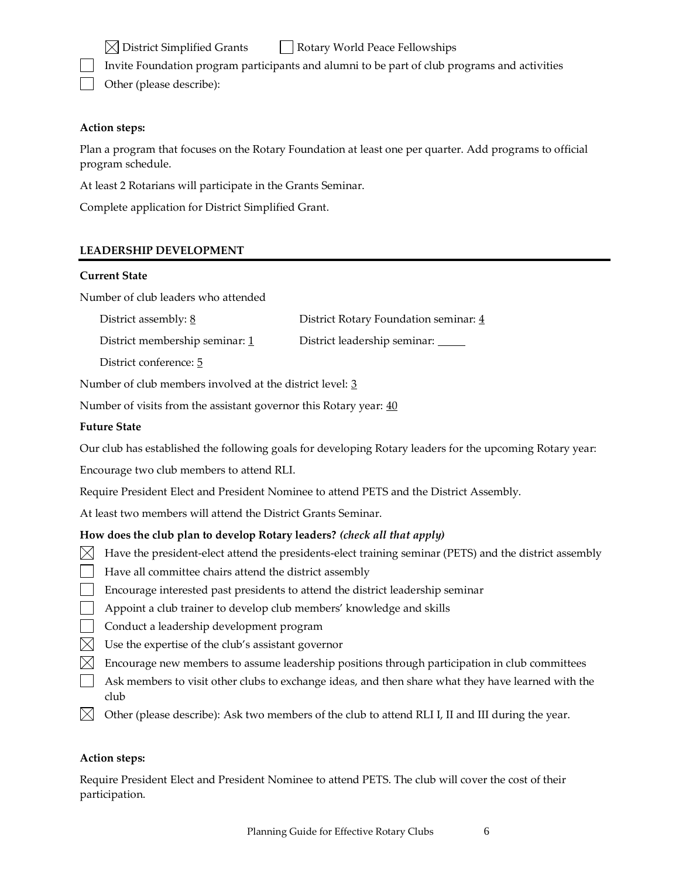$\boxtimes$  District Simplified Grants  $\Box$  Rotary World Peace Fellowships

Invite Foundation program participants and alumni to be part of club programs and activities

Other (please describe):

# **Action steps:**

Plan a program that focuses on the Rotary Foundation at least one per quarter. Add programs to official program schedule.

At least 2 Rotarians will participate in the Grants Seminar.

Complete application for District Simplified Grant.

# **LEADERSHIP DEVELOPMENT**

#### **Current State**

Number of club leaders who attended

District assembly: 8 District Rotary Foundation seminar: 4

District membership seminar: 1 District leadership seminar: 1

District conference: 5

Number of club members involved at the district level: 3

Number of visits from the assistant governor this Rotary year:  $\frac{40}{2}$ 

## **Future State**

Our club has established the following goals for developing Rotary leaders for the upcoming Rotary year:

Encourage two club members to attend RLI.

Require President Elect and President Nominee to attend PETS and the District Assembly.

At least two members will attend the District Grants Seminar.

# **How does the club plan to develop Rotary leaders?** *(check all that apply)*

- $\boxtimes$  Have the president-elect attend the presidents-elect training seminar (PETS) and the district assembly
- $\vert \vert$  Have all committee chairs attend the district assembly
- Encourage interested past presidents to attend the district leadership seminar
- **Appoint a club trainer to develop club members' knowledge and skills**
- | Conduct a leadership development program
- $\boxtimes$  Use the expertise of the club's assistant governor
- $\bowtie$  Encourage new members to assume leadership positions through participation in club committees
- $\Box$  Ask members to visit other clubs to exchange ideas, and then share what they have learned with the club
- $\boxtimes$  Other (please describe): Ask two members of the club to attend RLI I, II and III during the year.

#### **Action steps:**

Require President Elect and President Nominee to attend PETS. The club will cover the cost of their participation.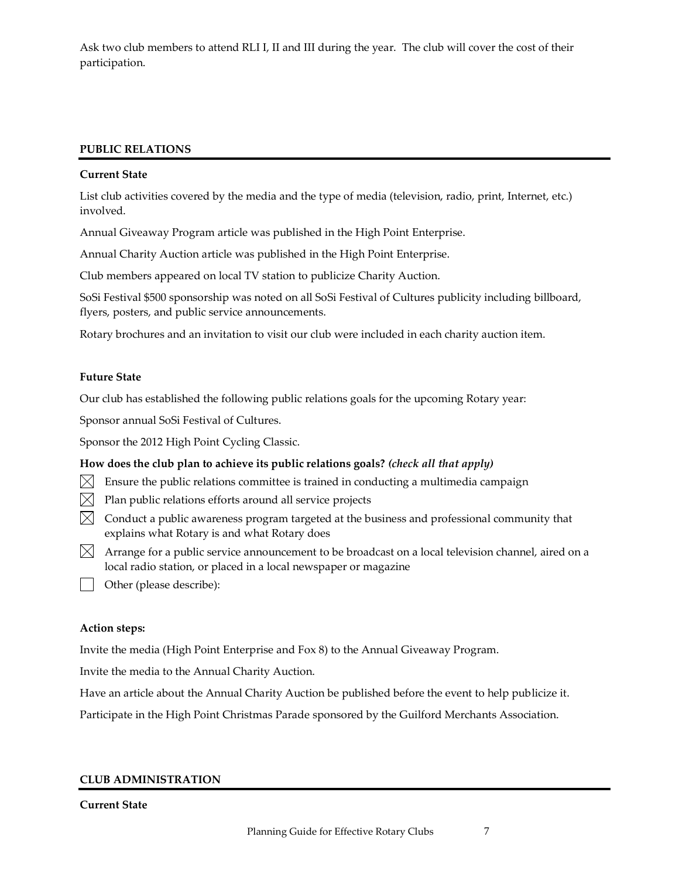Ask two club members to attend RLI I, II and III during the year. The club will cover the cost of their participation.

#### **PUBLIC RELATIONS**

#### **Current State**

List club activities covered by the media and the type of media (television, radio, print, Internet, etc.) involved.

Annual Giveaway Program article was published in the High Point Enterprise.

Annual Charity Auction article was published in the High Point Enterprise.

Club members appeared on local TV station to publicize Charity Auction.

SoSi Festival \$500 sponsorship was noted on all SoSi Festival of Cultures publicity including billboard, flyers, posters, and public service announcements.

Rotary brochures and an invitation to visit our club were included in each charity auction item.

#### **Future State**

Our club has established the following public relations goals for the upcoming Rotary year:

Sponsor annual SoSi Festival of Cultures.

Sponsor the 2012 High Point Cycling Classic.

#### **How does the club plan to achieve its public relations goals?** *(check all that apply)*

- $\bowtie$  Ensure the public relations committee is trained in conducting a multimedia campaign
- $\boxtimes$  Plan public relations efforts around all service projects
- $\boxtimes$  Conduct a public awareness program targeted at the business and professional community that explains what Rotary is and what Rotary does
- $\boxtimes$  Arrange for a public service announcement to be broadcast on a local television channel, aired on a local radio station, or placed in a local newspaper or magazine
- **Other (please describe):**

#### **Action steps:**

Invite the media (High Point Enterprise and Fox 8) to the Annual Giveaway Program.

Invite the media to the Annual Charity Auction.

Have an article about the Annual Charity Auction be published before the event to help publicize it.

Participate in the High Point Christmas Parade sponsored by the Guilford Merchants Association.

#### **CLUB ADMINISTRATION**

#### **Current State**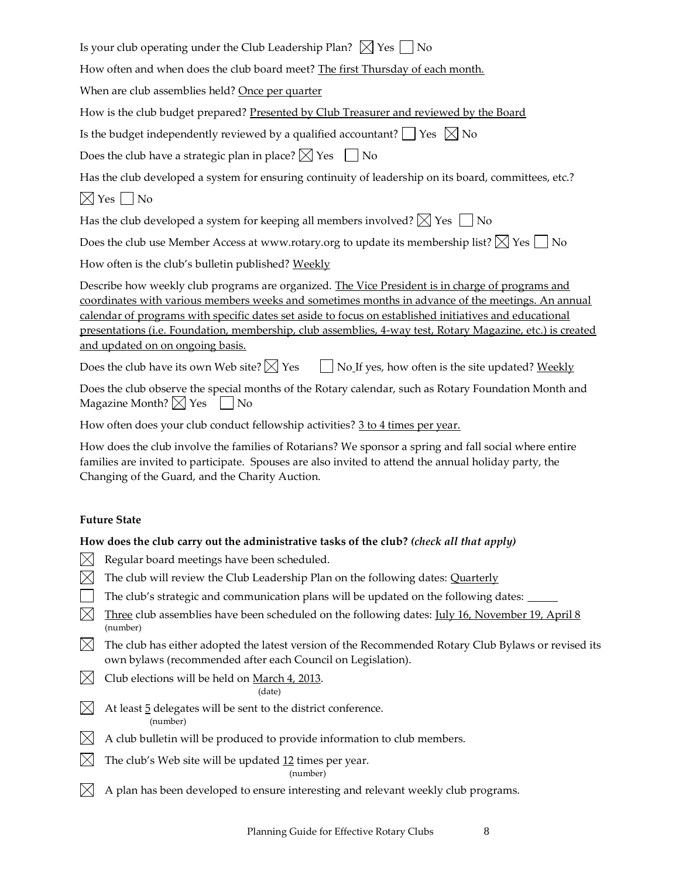| Is your club operating under the Club Leadership Plan? $\boxtimes$ Yes $\Box$ No |  |  |  |  |
|----------------------------------------------------------------------------------|--|--|--|--|
|----------------------------------------------------------------------------------|--|--|--|--|

How often and when does the club board meet? The first Thursday of each month.

When are club assemblies held? Once per quarter

How is the club budget prepared? Presented by Club Treasurer and reviewed by the Board

Is the budget independently reviewed by a qualified accountant?  $\Box$  Yes  $\boxtimes$  No

Does the club have a strategic plan in place?  $\boxtimes$  Yes  $\Box$  No

Has the club developed a system for ensuring continuity of leadership on its board, committees, etc.?

 $\boxtimes$  Yes  $\Box$  No

Has the club developed a system for keeping all members involved?  $\boxtimes$  Yes  $\Box$  No

Does the club use Member Access at www.rotary.org to update its membership list?  $\boxtimes$  Yes  $\Box$  No

How often is the club's bulletin published? Weekly

Describe how weekly club programs are organized. The Vice President is in charge of programs and coordinates with various members weeks and sometimes months in advance of the meetings. An annual calendar of programs with specific dates set aside to focus on established initiatives and educational presentations (i.e. Foundation, membership, club assemblies, 4-way test, Rotary Magazine, etc.) is created and updated on on ongoing basis.

Does the club have its own Web site?  $\boxtimes$  Yes  $\Box$  No If yes, how often is the site updated? Weekly

Does the club observe the special months of the Rotary calendar, such as Rotary Foundation Month and Magazine Month?  $\times$  Yes  $\Box$  No

How often does your club conduct fellowship activities? 3 to 4 times per year.

How does the club involve the families of Rotarians? We sponsor a spring and fall social where entire families are invited to participate. Spouses are also invited to attend the annual holiday party, the Changing of the Guard, and the Charity Auction.

# **Future State**

# **How does the club carry out the administrative tasks of the club?** *(check all that apply)*

- $\boxtimes$  Regular board meetings have been scheduled.
- $\boxtimes$  The club will review the Club Leadership Plan on the following dates: Quarterly
- $\Box$  The club's strategic and communication plans will be updated on the following dates:  $\Box$
- $\boxtimes$  Three club assemblies have been scheduled on the following dates: July 16, November 19, April 8 (number)
- $\boxtimes$  The club has either adopted the latest version of the Recommended Rotary Club Bylaws or revised its own bylaws (recommended after each Council on Legislation).
- $\bowtie$  Club elections will be held on March 4, 2013.

(date)

- $\boxtimes$  At least 5 delegates will be sent to the district conference. (number)
- $\boxtimes$  A club bulletin will be produced to provide information to club members.
- $\boxtimes$  The club's Web site will be updated 12 times per year.

(number)

 $\boxtimes$  A plan has been developed to ensure interesting and relevant weekly club programs.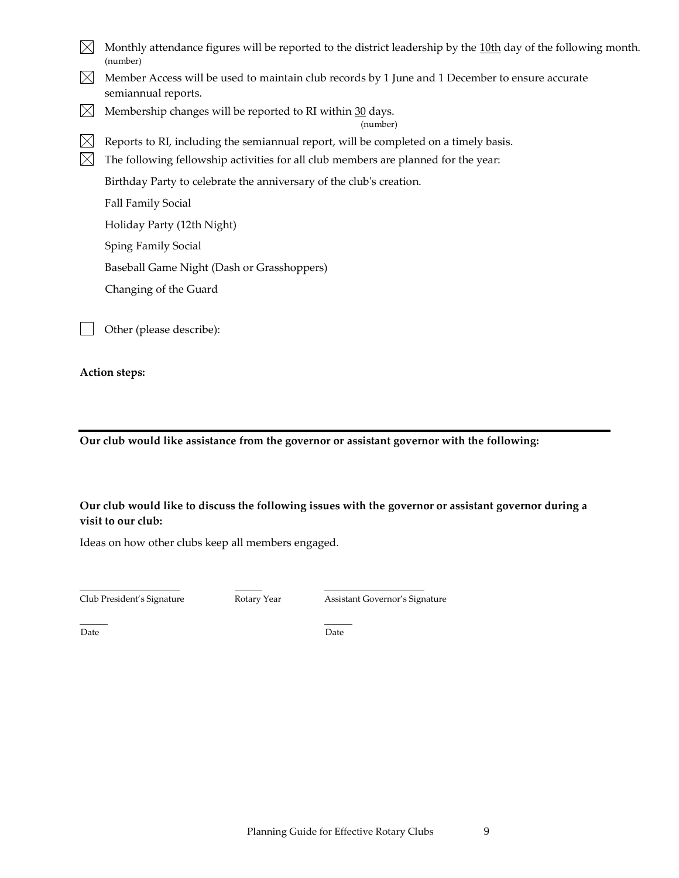- Monthly attendance figures will be reported to the district leadership by the  $10th$  day of the following month. (number)
- $\boxtimes$  Member Access will be used to maintain club records by 1 June and 1 December to ensure accurate semiannual reports.
- $\bowtie$  Membership changes will be reported to RI within 30 days.

(number)

 $\boxtimes$  Reports to RI, including the semiannual report, will be completed on a timely basis.

 $\boxtimes$  The following fellowship activities for all club members are planned for the year:

Birthday Party to celebrate the anniversary of the club's creation.

Fall Family Social

Holiday Party (12th Night)

Sping Family Social

Baseball Game Night (Dash or Grasshoppers)

Changing of the Guard

Other (please describe):

**Action steps:**

**Our club would like assistance from the governor or assistant governor with the following:**

# **Our club would like to discuss the following issues with the governor or assistant governor during a visit to our club:**

Ideas on how other clubs keep all members engaged.

 $\overline{a}$ 

Club President's Signature Rotary Year Assistant Governor's Signature

Date **Date** Date **Date**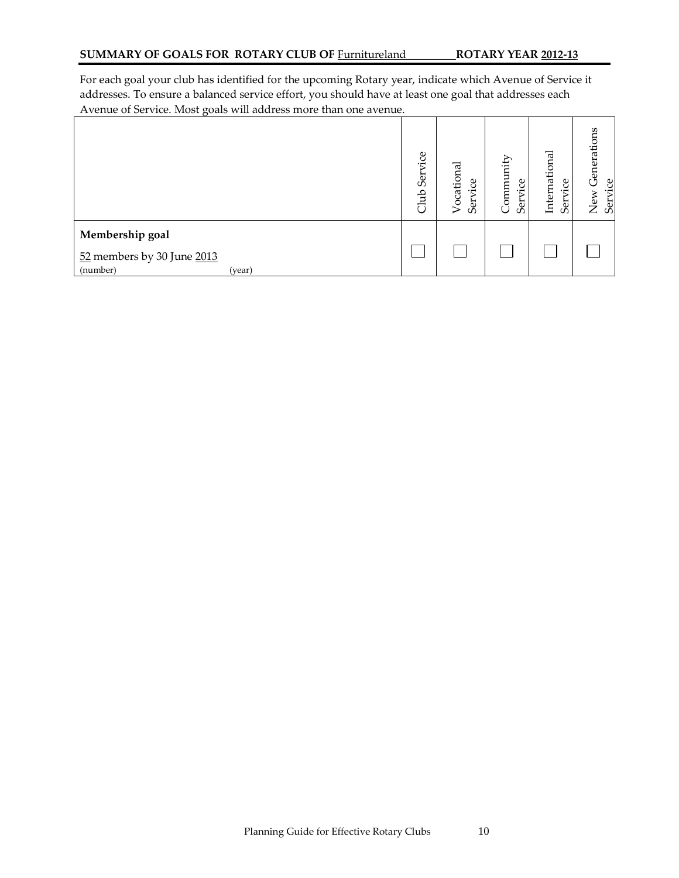For each goal your club has identified for the upcoming Rotary year, indicate which Avenue of Service it addresses. To ensure a balanced service effort, you should have at least one goal that addresses each Avenue of Service. Most goals will address more than one avenue.

| $\sigma$ $\sim$                                                     | Club Service | Vocational<br>Service | Community<br>g<br>Ser | International<br>ë<br>Ser | Generations<br>Service<br>New |
|---------------------------------------------------------------------|--------------|-----------------------|-----------------------|---------------------------|-------------------------------|
| Membership goal<br>52 members by 30 June 2013<br>(number)<br>(year) |              |                       |                       |                           |                               |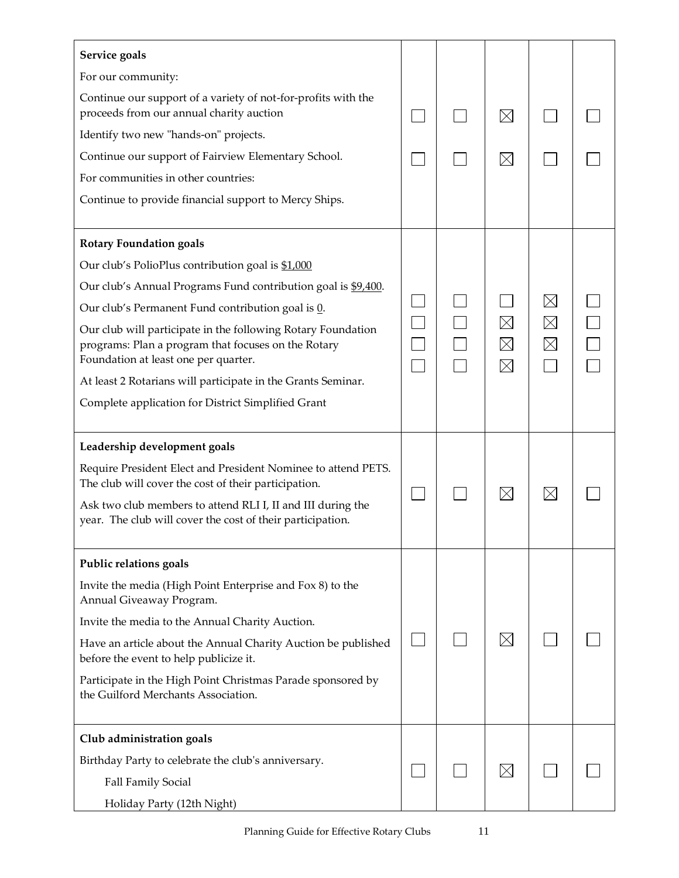| Service goals                                                                                                                                               |  |                                           |                            |  |
|-------------------------------------------------------------------------------------------------------------------------------------------------------------|--|-------------------------------------------|----------------------------|--|
| For our community:                                                                                                                                          |  |                                           |                            |  |
| Continue our support of a variety of not-for-profits with the<br>proceeds from our annual charity auction                                                   |  | $\boxtimes$                               |                            |  |
| Identify two new "hands-on" projects.                                                                                                                       |  |                                           |                            |  |
| Continue our support of Fairview Elementary School.                                                                                                         |  | $\times$                                  |                            |  |
| For communities in other countries:                                                                                                                         |  |                                           |                            |  |
| Continue to provide financial support to Mercy Ships.                                                                                                       |  |                                           |                            |  |
| <b>Rotary Foundation goals</b>                                                                                                                              |  |                                           |                            |  |
| Our club's PolioPlus contribution goal is \$1,000                                                                                                           |  |                                           |                            |  |
| Our club's Annual Programs Fund contribution goal is \$9,400.                                                                                               |  |                                           |                            |  |
| Our club's Permanent Fund contribution goal is 0.                                                                                                           |  |                                           | $\boxtimes$                |  |
| Our club will participate in the following Rotary Foundation<br>programs: Plan a program that focuses on the Rotary<br>Foundation at least one per quarter. |  | $\boxtimes$<br>$\boxtimes$<br>$\boxtimes$ | $\boxtimes$<br>$\boxtimes$ |  |
| At least 2 Rotarians will participate in the Grants Seminar.                                                                                                |  |                                           |                            |  |
| Complete application for District Simplified Grant                                                                                                          |  |                                           |                            |  |
| Leadership development goals                                                                                                                                |  |                                           |                            |  |
| Require President Elect and President Nominee to attend PETS.<br>The club will cover the cost of their participation.                                       |  |                                           |                            |  |
| Ask two club members to attend RLI I, II and III during the<br>year. The club will cover the cost of their participation.                                   |  | $\boxtimes$                               | $\boxtimes$                |  |
| Public relations goals                                                                                                                                      |  |                                           |                            |  |
| Invite the media (High Point Enterprise and Fox 8) to the<br>Annual Giveaway Program.                                                                       |  |                                           |                            |  |
| Invite the media to the Annual Charity Auction.                                                                                                             |  |                                           |                            |  |
| Have an article about the Annual Charity Auction be published<br>before the event to help publicize it.                                                     |  | $\boxtimes$                               |                            |  |
| Participate in the High Point Christmas Parade sponsored by<br>the Guilford Merchants Association.                                                          |  |                                           |                            |  |
| Club administration goals                                                                                                                                   |  |                                           |                            |  |
| Birthday Party to celebrate the club's anniversary.                                                                                                         |  |                                           |                            |  |
| Fall Family Social                                                                                                                                          |  | $\boxtimes$                               |                            |  |
| Holiday Party (12th Night)                                                                                                                                  |  |                                           |                            |  |